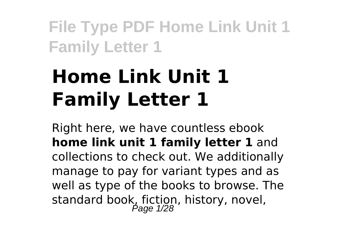# **Home Link Unit 1 Family Letter 1**

Right here, we have countless ebook **home link unit 1 family letter 1** and collections to check out. We additionally manage to pay for variant types and as well as type of the books to browse. The standard book, fiction, history, novel,<br>Page 1/28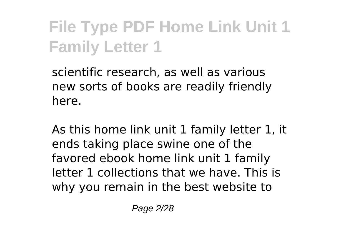scientific research, as well as various new sorts of books are readily friendly here.

As this home link unit 1 family letter 1, it ends taking place swine one of the favored ebook home link unit 1 family letter 1 collections that we have. This is why you remain in the best website to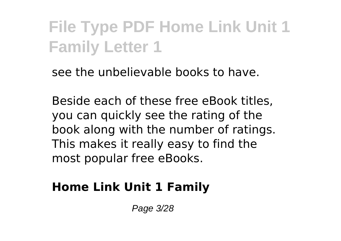see the unbelievable books to have.

Beside each of these free eBook titles, you can quickly see the rating of the book along with the number of ratings. This makes it really easy to find the most popular free eBooks.

#### **Home Link Unit 1 Family**

Page 3/28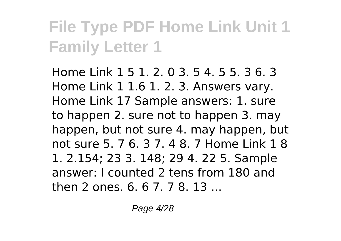Home Link 1 5 1. 2. 0 3. 5 4. 5 5. 3 6. 3 Home Link 1 1.6 1. 2. 3. Answers vary. Home Link 17 Sample answers: 1. sure to happen 2. sure not to happen 3. may happen, but not sure 4. may happen, but not sure 5. 7 6. 3 7. 4 8. 7 Home Link 1 8 1. 2.154; 23 3. 148; 29 4. 22 5. Sample answer: I counted 2 tens from 180 and then 2 ones. 6. 6 7. 7 8. 13 ...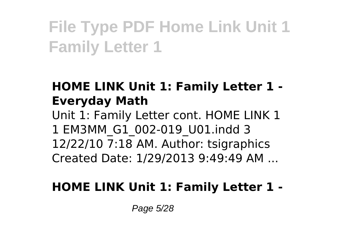### **HOME LINK Unit 1: Family Letter 1 - Everyday Math**

Unit 1: Family Letter cont. HOME LINK 1 1 EM3MM\_G1\_002-019\_U01.indd 3 12/22/10 7:18 AM. Author: tsigraphics Created Date: 1/29/2013 9:49:49 AM ...

### **HOME LINK Unit 1: Family Letter 1 -**

Page 5/28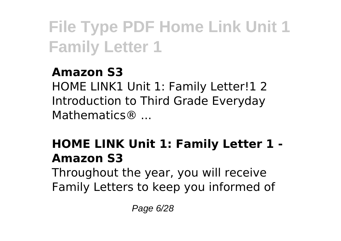### **Amazon S3**

HOME LINK1 Unit 1: Family Letter!1 2 Introduction to Third Grade Everyday Mathematics® ...

### **HOME LINK Unit 1: Family Letter 1 - Amazon S3**

Throughout the year, you will receive Family Letters to keep you informed of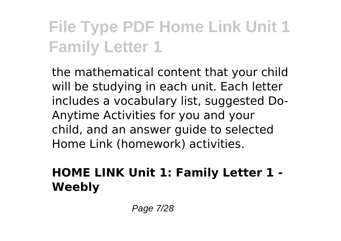the mathematical content that your child will be studying in each unit. Each letter includes a vocabulary list, suggested Do-Anytime Activities for you and your child, and an answer guide to selected Home Link (homework) activities.

### **HOME LINK Unit 1: Family Letter 1 - Weebly**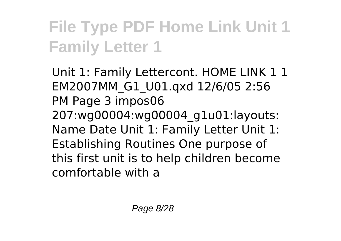Unit 1: Family Lettercont. HOME LINK 1 1 EM2007MM\_G1\_U01.qxd 12/6/05 2:56 PM Page 3 impos06 207:wg00004:wg00004\_g1u01:layouts: Name Date Unit 1: Family Letter Unit 1: Establishing Routines One purpose of this first unit is to help children become comfortable with a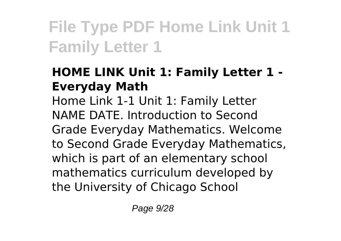### **HOME LINK Unit 1: Family Letter 1 - Everyday Math**

Home Link 1-1 Unit 1: Family Letter NAME DATE. Introduction to Second Grade Everyday Mathematics. Welcome to Second Grade Everyday Mathematics, which is part of an elementary school mathematics curriculum developed by the University of Chicago School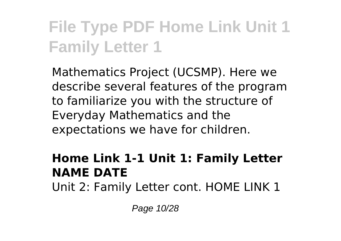Mathematics Project (UCSMP). Here we describe several features of the program to familiarize you with the structure of Everyday Mathematics and the expectations we have for children.

#### **Home Link 1-1 Unit 1: Family Letter NAME DATE**

Unit 2: Family Letter cont. HOME LINK 1

Page 10/28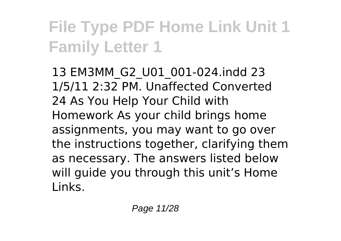13 EM3MM\_G2\_U01\_001-024.indd 23 1/5/11 2:32 PM. Unaffected Converted 24 As You Help Your Child with Homework As your child brings home assignments, you may want to go over the instructions together, clarifying them as necessary. The answers listed below will quide you through this unit's Home Links.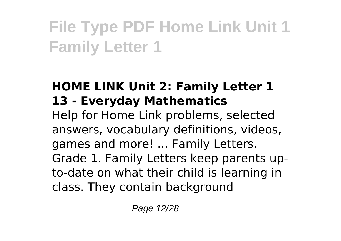### **HOME LINK Unit 2: Family Letter 1 13 - Everyday Mathematics**

Help for Home Link problems, selected answers, vocabulary definitions, videos, games and more! ... Family Letters. Grade 1. Family Letters keep parents upto-date on what their child is learning in class. They contain background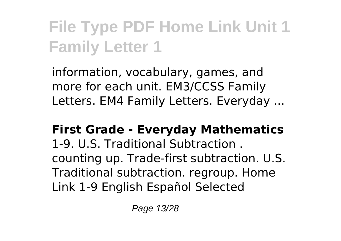information, vocabulary, games, and more for each unit. EM3/CCSS Family Letters. EM4 Family Letters. Everyday ...

**First Grade - Everyday Mathematics** 1-9. U.S. Traditional Subtraction . counting up. Trade-first subtraction. U.S. Traditional subtraction. regroup. Home Link 1-9 English Español Selected

Page 13/28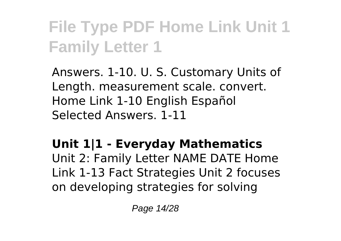Answers. 1-10. U. S. Customary Units of Length. measurement scale. convert. Home Link 1-10 English Español Selected Answers. 1-11

### **Unit 1|1 - Everyday Mathematics**

Unit 2: Family Letter NAME DATE Home Link 1-13 Fact Strategies Unit 2 focuses on developing strategies for solving

Page 14/28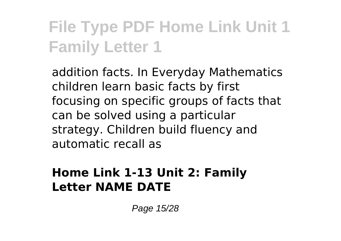addition facts. In Everyday Mathematics children learn basic facts by first focusing on specific groups of facts that can be solved using a particular strategy. Children build fluency and automatic recall as

#### **Home Link 1-13 Unit 2: Family Letter NAME DATE**

Page 15/28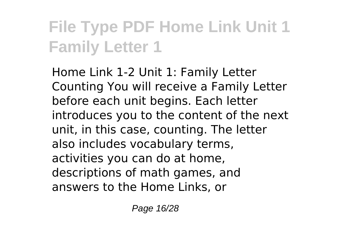Home Link 1-2 Unit 1: Family Letter Counting You will receive a Family Letter before each unit begins. Each letter introduces you to the content of the next unit, in this case, counting. The letter also includes vocabulary terms, activities you can do at home, descriptions of math games, and answers to the Home Links, or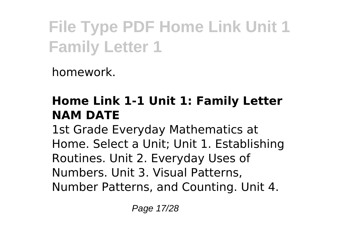homework.

### **Home Link 1-1 Unit 1: Family Letter NAM DATE**

1st Grade Everyday Mathematics at Home. Select a Unit; Unit 1. Establishing Routines. Unit 2. Everyday Uses of Numbers. Unit 3. Visual Patterns, Number Patterns, and Counting. Unit 4.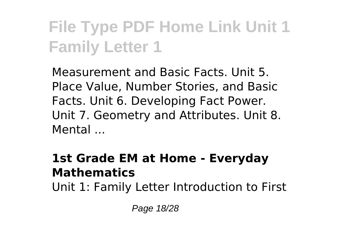Measurement and Basic Facts. Unit 5. Place Value, Number Stories, and Basic Facts. Unit 6. Developing Fact Power. Unit 7. Geometry and Attributes. Unit 8. Mental ...

#### **1st Grade EM at Home - Everyday Mathematics**

Unit 1: Family Letter Introduction to First

Page 18/28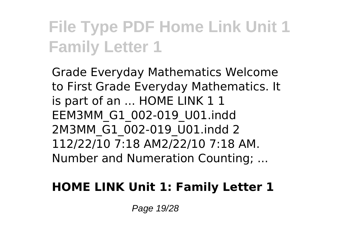Grade Everyday Mathematics Welcome to First Grade Everyday Mathematics. It is part of an ... HOME LINK 1 1 EEM3MM\_G1\_002-019\_U01.indd 2M3MM\_G1\_002-019\_U01.indd 2 112/22/10 7:18 AM2/22/10 7:18 AM. Number and Numeration Counting; ...

### **HOME LINK Unit 1: Family Letter 1**

Page 19/28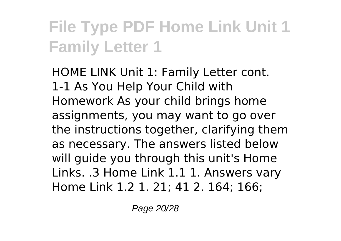HOME LINK Unit 1: Family Letter cont. 1-1 As You Help Your Child with Homework As your child brings home assignments, you may want to go over the instructions together, clarifying them as necessary. The answers listed below will guide you through this unit's Home Links. .3 Home Link 1.1 1. Answers vary Home Link 1.2 1. 21; 41 2. 164; 166;

Page 20/28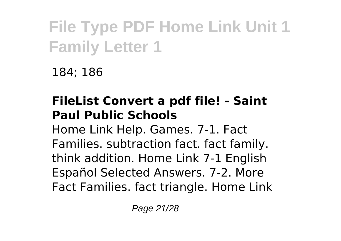184; 186

### **FileList Convert a pdf file! - Saint Paul Public Schools**

Home Link Help. Games. 7-1. Fact Families. subtraction fact. fact family. think addition. Home Link 7-1 English Español Selected Answers. 7-2. More Fact Families. fact triangle. Home Link

Page 21/28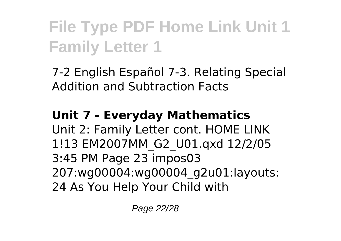7-2 English Español 7-3. Relating Special Addition and Subtraction Facts

#### **Unit 7 - Everyday Mathematics** Unit 2: Family Letter cont. HOME LINK 1!13 EM2007MM\_G2\_U01.qxd 12/2/05 3:45 PM Page 23 impos03 207:wg00004:wg00004\_g2u01:layouts: 24 As You Help Your Child with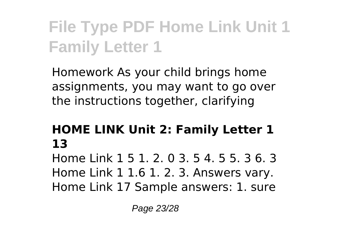Homework As your child brings home assignments, you may want to go over the instructions together, clarifying

### **HOME LINK Unit 2: Family Letter 1 13**

Home Link 1 5 1. 2. 0 3. 5 4. 5 5. 3 6. 3 Home Link 1 1.6 1. 2. 3. Answers vary. Home Link 17 Sample answers: 1. sure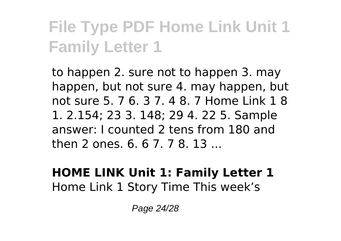to happen 2. sure not to happen 3. may happen, but not sure 4. may happen, but not sure 5. 7 6. 3 7. 4 8. 7 Home Link 1 8 1. 2.154; 23 3. 148; 29 4. 22 5. Sample answer: I counted 2 tens from 180 and then 2 ones. 6. 6 7. 7 8. 13 ...

#### **HOME LINK Unit 1: Family Letter 1** Home Link 1 Story Time This week's

Page 24/28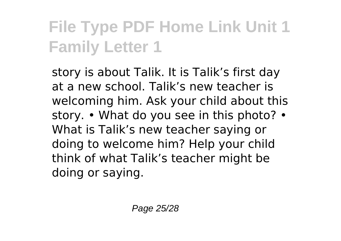story is about Talik. It is Talik's first day at a new school. Talik's new teacher is welcoming him. Ask your child about this story. • What do you see in this photo? • What is Talik's new teacher saying or doing to welcome him? Help your child think of what Talik's teacher might be doing or saying.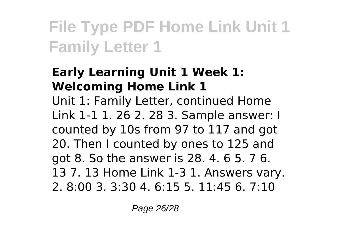### **Early Learning Unit 1 Week 1: Welcoming Home Link 1**

Unit 1: Family Letter, continued Home Link 1-1 1. 26 2. 28 3. Sample answer: I counted by 10s from 97 to 117 and got 20. Then I counted by ones to 125 and got 8. So the answer is 28. 4. 6 5. 7 6. 13 7. 13 Home Link 1-3 1. Answers vary. 2. 8:00 3. 3:30 4. 6:15 5. 11:45 6. 7:10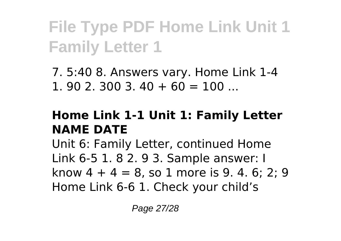7. 5:40 8. Answers vary. Home Link 1-4 1. 90 2. 300 3.  $40 + 60 = 100$  ...

#### **Home Link 1-1 Unit 1: Family Letter NAME DATE**

Unit 6: Family Letter, continued Home Link 6-5 1. 8 2. 9 3. Sample answer: I know  $4 + 4 = 8$ , so 1 more is 9, 4, 6; 2; 9 Home Link 6-6 1. Check your child's

Page 27/28